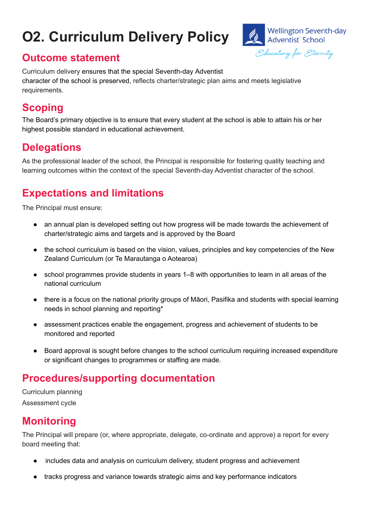# **O2. Curriculum Delivery Policy**



#### **Outcome statement**

Curriculum delivery ensures that the special Seventh-day Adventist character of the school is preserved, reflects charter/strategic plan aims and meets legislative requirements.

## **Scoping**

The Board's primary objective is to ensure that every student at the school is able to attain his or her highest possible standard in educational achievement.

#### **Delegations**

As the professional leader of the school, the Principal is responsible for fostering quality teaching and learning outcomes within the context of the special Seventh-day Adventist character of the school.

### **Expectations and limitations**

The Principal must ensure:

- an annual plan is developed setting out how progress will be made towards the achievement of charter/strategic aims and targets and is approved by the Board
- the school curriculum is based on the vision, values, principles and key competencies of the New Zealand Curriculum (or Te Marautanga o Aotearoa)
- school programmes provide students in years 1–8 with opportunities to learn in all areas of the national curriculum
- there is a focus on the national priority groups of Māori, Pasifika and students with special learning needs in school planning and reporting\*
- assessment practices enable the engagement, progress and achievement of students to be monitored and reported
- Board approval is sought before changes to the school curriculum requiring increased expenditure or significant changes to programmes or staffing are made.

### **Procedures/supporting documentation**

Curriculum planning Assessment cycle

#### **Monitoring**

The Principal will prepare (or, where appropriate, delegate, co-ordinate and approve) a report for every board meeting that:

- includes data and analysis on curriculum delivery, student progress and achievement
- tracks progress and variance towards strategic aims and key performance indicators